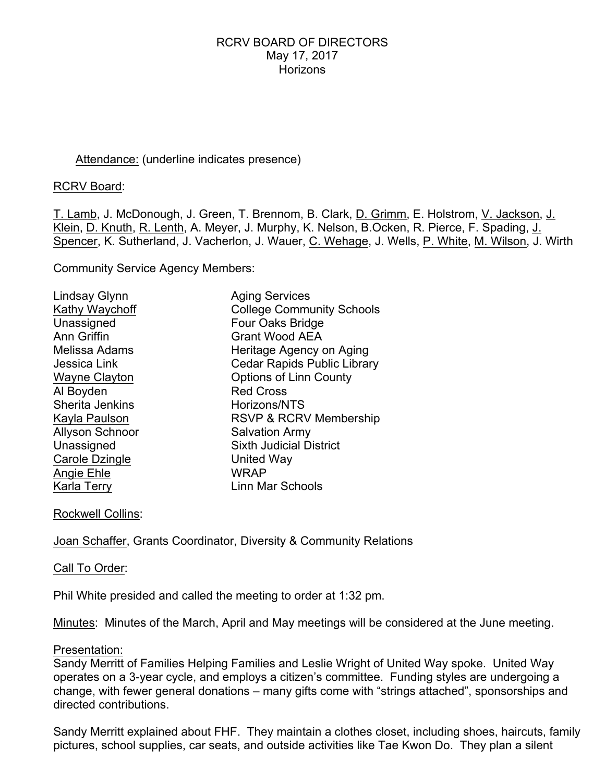# Attendance: (underline indicates presence)

RCRV Board:

T. Lamb, J. McDonough, J. Green, T. Brennom, B. Clark, D. Grimm, E. Holstrom, V. Jackson, J. Klein, D. Knuth, R. Lenth, A. Meyer, J. Murphy, K. Nelson, B.Ocken, R. Pierce, F. Spading, J. Spencer, K. Sutherland, J. Vacherlon, J. Wauer, C. Wehage, J. Wells, P. White, M. Wilson, J. Wirth

Community Service Agency Members:

| Lindsay Glynn          | <b>Aging Services</b>              |
|------------------------|------------------------------------|
| Kathy Waychoff         | <b>College Community Schools</b>   |
| Unassigned             | Four Oaks Bridge                   |
| Ann Griffin            | <b>Grant Wood AEA</b>              |
| Melissa Adams          | Heritage Agency on Aging           |
| Jessica Link           | <b>Cedar Rapids Public Library</b> |
| Wayne Clayton          | <b>Options of Linn County</b>      |
| Al Boyden              | <b>Red Cross</b>                   |
| Sherita Jenkins        | Horizons/NTS                       |
| Kayla Paulson          | <b>RSVP &amp; RCRV Membership</b>  |
| <b>Allyson Schnoor</b> | <b>Salvation Army</b>              |
| Unassigned             | <b>Sixth Judicial District</b>     |
| Carole Dzingle         | United Way                         |
| Angie Ehle             | <b>WRAP</b>                        |
| Karla Terry            | Linn Mar Schools                   |

Rockwell Collins:

Joan Schaffer, Grants Coordinator, Diversity & Community Relations

Call To Order:

Phil White presided and called the meeting to order at 1:32 pm.

Minutes: Minutes of the March, April and May meetings will be considered at the June meeting.

#### Presentation:

Sandy Merritt of Families Helping Families and Leslie Wright of United Way spoke. United Way operates on a 3-year cycle, and employs a citizen's committee. Funding styles are undergoing a change, with fewer general donations – many gifts come with "strings attached", sponsorships and directed contributions.

Sandy Merritt explained about FHF. They maintain a clothes closet, including shoes, haircuts, family pictures, school supplies, car seats, and outside activities like Tae Kwon Do. They plan a silent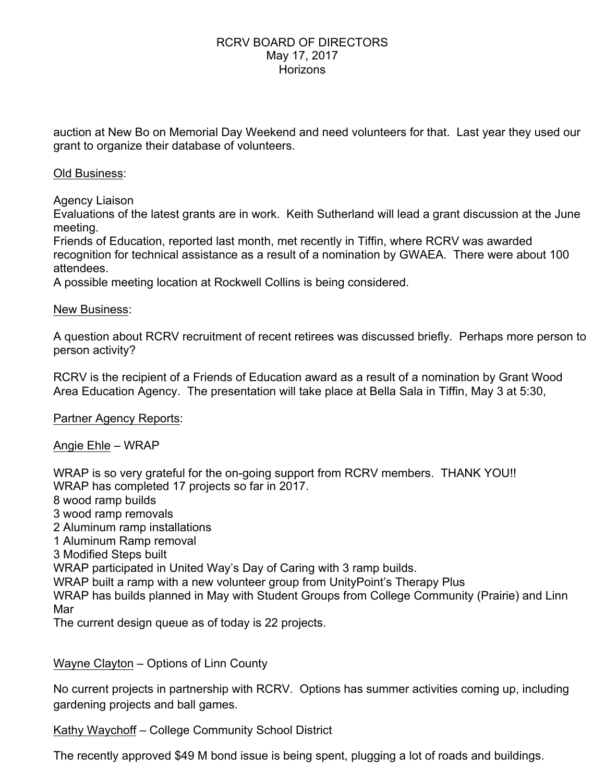auction at New Bo on Memorial Day Weekend and need volunteers for that. Last year they used our grant to organize their database of volunteers.

# Old Business:

Agency Liaison

Evaluations of the latest grants are in work. Keith Sutherland will lead a grant discussion at the June meeting.

Friends of Education, reported last month, met recently in Tiffin, where RCRV was awarded recognition for technical assistance as a result of a nomination by GWAEA. There were about 100 attendees.

A possible meeting location at Rockwell Collins is being considered.

## New Business:

A question about RCRV recruitment of recent retirees was discussed briefly. Perhaps more person to person activity?

RCRV is the recipient of a Friends of Education award as a result of a nomination by Grant Wood Area Education Agency. The presentation will take place at Bella Sala in Tiffin, May 3 at 5:30,

Partner Agency Reports:

# Angie Ehle – WRAP

WRAP is so very grateful for the on-going support from RCRV members. THANK YOU!! WRAP has completed 17 projects so far in 2017.

- 8 wood ramp builds
- 3 wood ramp removals
- 2 Aluminum ramp installations
- 1 Aluminum Ramp removal
- 3 Modified Steps built

WRAP participated in United Way's Day of Caring with 3 ramp builds.

WRAP built a ramp with a new volunteer group from UnityPoint's Therapy Plus

WRAP has builds planned in May with Student Groups from College Community (Prairie) and Linn Mar

The current design queue as of today is 22 projects.

Wayne Clayton – Options of Linn County

No current projects in partnership with RCRV. Options has summer activities coming up, including gardening projects and ball games.

Kathy Waychoff – College Community School District

The recently approved \$49 M bond issue is being spent, plugging a lot of roads and buildings.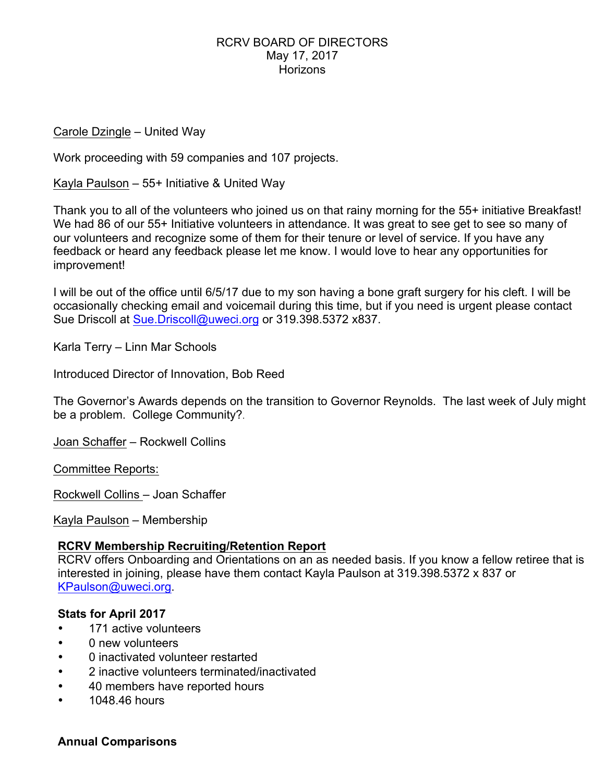Carole Dzingle – United Way

Work proceeding with 59 companies and 107 projects.

Kayla Paulson – 55+ Initiative & United Way

Thank you to all of the volunteers who joined us on that rainy morning for the 55+ initiative Breakfast! We had 86 of our 55+ Initiative volunteers in attendance. It was great to see get to see so many of our volunteers and recognize some of them for their tenure or level of service. If you have any feedback or heard any feedback please let me know. I would love to hear any opportunities for improvement!

I will be out of the office until 6/5/17 due to my son having a bone graft surgery for his cleft. I will be occasionally checking email and voicemail during this time, but if you need is urgent please contact Sue Driscoll at Sue.Driscoll@uweci.org or 319.398.5372 x837.

Karla Terry – Linn Mar Schools

Introduced Director of Innovation, Bob Reed

The Governor's Awards depends on the transition to Governor Reynolds. The last week of July might be a problem. College Community?.

Joan Schaffer – Rockwell Collins

Committee Reports:

Rockwell Collins – Joan Schaffer

Kayla Paulson – Membership

# **RCRV Membership Recruiting/Retention Report**

RCRV offers Onboarding and Orientations on an as needed basis. If you know a fellow retiree that is interested in joining, please have them contact Kayla Paulson at 319.398.5372 x 837 or KPaulson@uweci.org.

### **Stats for April 2017**

- 171 active volunteers
- 0 new volunteers
- 0 inactivated volunteer restarted
- 2 inactive volunteers terminated/inactivated
- 40 members have reported hours
- 1048.46 hours

#### **Annual Comparisons**